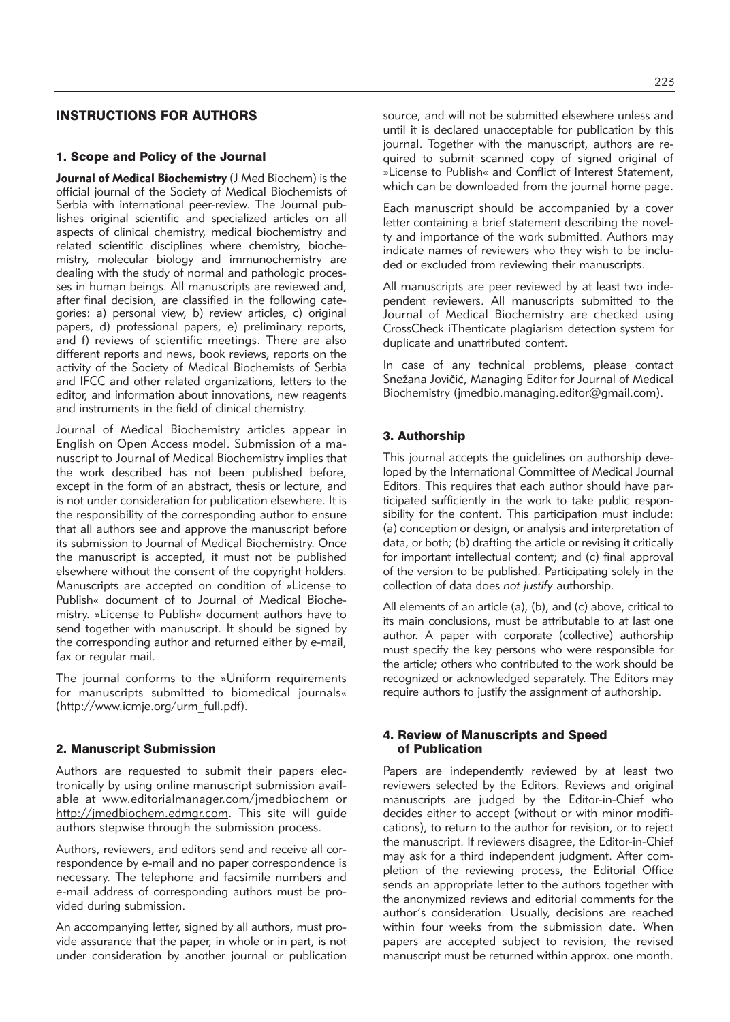## INSTRUCTIONS FOR AUTHORS

#### 1. Scope and Policy of the Journal

**Journal of Medical Biochemistry** (J Med Biochem) is the official journal of the Society of Medical Biochemists of Serbia with international peer-review. The Journal publishes original scientific and specialized articles on all aspects of clinical chemistry, medical biochemistry and related scientific disciplines where chemistry, biochemistry, molecular biology and immunochemistry are dealing with the study of normal and pathologic processes in human beings. All manuscripts are reviewed and, after final decision, are classified in the following categories: a) personal view, b) review articles, c) original papers, d) professional papers, e) preliminary reports, and f) reviews of scientific meetings. There are also different reports and news, book reviews, reports on the activity of the Society of Medical Biochemists of Serbia and IFCC and other related organizations, letters to the editor, and information about innovations, new reagents and instruments in the field of clinical chemistry.

Journal of Medical Biochemistry articles appear in English on Open Access model. Submission of a manu script to Journal of Medical Biochemistry implies that the work described has not been published before, except in the form of an abstract, thesis or lecture, and is not under consideration for publication elsewhere. It is the responsibility of the corresponding author to ensure that all authors see and approve the manuscript before its submission to Journal of Medical Biochemistry. Once the manuscript is accepted, it must not be published elsewhere without the consent of the copyright holders. Manuscripts are accepted on condition of »License to Publish« document of to Journal of Medical Biochemistry. »License to Publish« document authors have to send together with manuscript. It should be signed by the corresponding author and returned either by e-mail, fax or regular mail.

The journal conforms to the »Uniform requirements for manuscripts submitted to biomedical journals« (http://www.icmje.org/urm\_full.pdf).

#### 2. Manuscript Submission

Authors are requested to submit their papers electronically by using online manuscript submission available at www.editorialmanager.com/jmedbiochem or http://jmedbiochem.edmgr.com. This site will guide authors stepwise through the submission process.

Authors, reviewers, and editors send and receive all correspondence by e-mail and no paper correspondence is necessary. The telephone and facsimile numbers and e-mail address of corresponding authors must be provided during submission.

An accompanying letter, signed by all authors, must provide assurance that the paper, in whole or in part, is not under consideration by another journal or publication source, and will not be submitted elsewhere unless and until it is declared unacceptable for publication by this journal. Together with the manuscript, authors are required to submit scanned copy of signed original of »License to Publish« and Conflict of Interest Statement,

Each manuscript should be accompanied by a cover letter containing a brief statement describing the novelty and importance of the work submitted. Authors may indicate names of reviewers who they wish to be included or excluded from reviewing their manuscripts.

which can be downloaded from the journal home page.

All manuscripts are peer reviewed by at least two independent reviewers. All manuscripts submitted to the Journal of Medical Biochemistry are checked using CrossCheck iThenticate plagiarism detection system for duplicate and unattributed content.

In case of any technical problems, please contact Snežana Jovičić, Managing Editor for Journal of Medical Biochemistry (jmedbio.managing.editor@gmail.com).

### 3. Authorship

This journal accepts the guidelines on authorship developed by the International Committee of Medical Journal Editors. This requires that each author should have participated sufficiently in the work to take public responsibility for the content. This participation must include: (a) conception or design, or analysis and interpretation of data, or both; (b) drafting the article or revising it critically for important intellectual content; and (c) final approval of the version to be published. Participating solely in the collection of data does *not justify* authorship.

All elements of an article (a), (b), and (c) above, critical to its main conclusions, must be attributable to at last one author. A paper with corporate (collective) authorship must specify the key persons who were responsible for the article; others who contributed to the work should be re cognized or acknowledged separately. The Editors may require authors to justify the assignment of authorship.

#### 4. Review of Manuscripts and Speed of Publication

Papers are independently reviewed by at least two reviewers selected by the Editors. Reviews and original manuscripts are judged by the Editor-in-Chief who decides either to accept (without or with minor modifications), to return to the author for revision, or to reject the manuscript. If reviewers disagree, the Editor-in-Chief may ask for a third independent judgment. After completion of the reviewing process, the Editorial Office sends an appropriate letter to the authors together with the anonymized reviews and editorial comments for the author's consideration. Usually, decisions are reached within four weeks from the submission date. When papers are accepted subject to revision, the revised manuscript must be returned within approx. one month.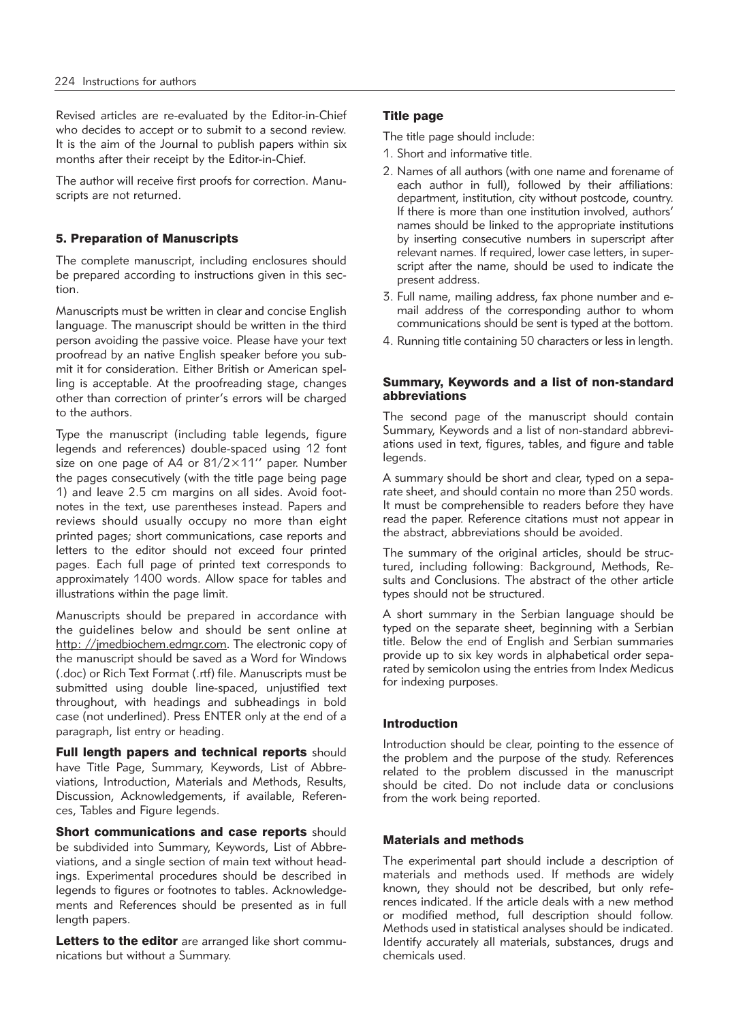Revised articles are re-evaluated by the Editor-in-Chief who decides to accept or to submit to a second review. It is the aim of the Journal to publish papers within six months after their receipt by the Editor-in-Chief.

The author will receive first proofs for correction. Manuscripts are not returned.

## 5. Preparation of Manuscripts

The complete manuscript, including enclosures should be prepared according to instructions given in this section.

Manuscripts must be written in clear and concise English language. The manuscript should be written in the third person avoiding the passive voice. Please have your text proofread by an native English speaker before you submit it for consideration. Either British or American spelling is acceptable. At the proofreading stage, changes other than correction of printer's errors will be charged to the authors.

Type the manuscript (including table legends, figure legends and references) double-spaced using 12 font size on one page of A4 or 81/2×11'' paper. Number the pages consecutively (with the title page being page 1) and leave 2.5 cm margins on all sides. Avoid footnotes in the text, use parentheses instead. Papers and reviews should usually occupy no more than eight printed pages; short communications, case reports and letters to the editor should not exceed four printed pages. Each full page of printed text corresponds to approximately 1400 words. Allow space for tables and illustrations within the page limit.

Manuscripts should be prepared in accordance with the guidelines below and should be sent online at http: //jmedbiochem.edmgr.com. The electronic copy of the manuscript should be saved as a Word for Windows (.doc) or Rich Text Format (.rtf) file. Manuscripts must be submitted using double line-spaced, unjustified text throughout, with headings and subheadings in bold case (not underlined). Press ENTER only at the end of a paragraph, list entry or heading.

Full length papers and technical reports should have Title Page, Summary, Keywords, List of Abbreviations, Introduction, Materials and Methods, Results, Discussion, Acknowledgements, if available, References, Tables and Figure legends.

Short communications and case reports should be subdivided into Summary, Keywords, List of Abbreviations, and a single section of main text without headings. Experimental procedures should be described in legends to figures or footnotes to tables. Acknowledgements and References should be presented as in full length papers.

Letters to the editor are arranged like short communications but without a Summary.

## Title page

The title page should include:

- 1. Short and informative title.
- 2. Names of all authors (with one name and forename of each author in full), followed by their affiliations: department, institution, city without postcode, country. If there is more than one institution involved, authors' names should be linked to the appropriate institutions by inserting consecutive numbers in superscript after relevant names. If required, lower case letters, in superscript after the name, should be used to indicate the present address.
- 3. Full name, mailing address, fax phone number and email address of the corresponding author to whom communications should be sent is typed at the bottom.
- 4. Running title containing 50 characters or less in length.

### Summary, Keywords and a list of non-standard abbreviations

The second page of the manuscript should contain Summary, Keywords and a list of non-standard abbreviations used in text, figures, tables, and figure and table legends.

A summary should be short and clear, typed on a separate sheet, and should contain no more than 250 words. It must be comprehensible to readers before they have read the paper. Reference citations must not appear in the abstract, abbreviations should be avoided.

The summary of the original articles, should be structured, including following: Background, Methods, Results and Conclusions. The abstract of the other article types should not be structured.

A short summary in the Serbian language should be typed on the separate sheet, beginning with a Serbian title. Below the end of English and Serbian summaries provide up to six key words in alphabetical order separated by semicolon using the entries from Index Medicus for indexing purposes.

### Introduction

Introduction should be clear, pointing to the essence of the problem and the purpose of the study. References related to the problem discussed in the manuscript should be cited. Do not include data or conclusions from the work being reported.

### Materials and methods

The experimental part should include a description of materials and methods used. If methods are widely known, they should not be described, but only references indicated. If the article deals with a new method or modified method, full description should follow. Methods used in statistical analyses should be indicated. Identify accurately all materials, substances, drugs and chemicals used.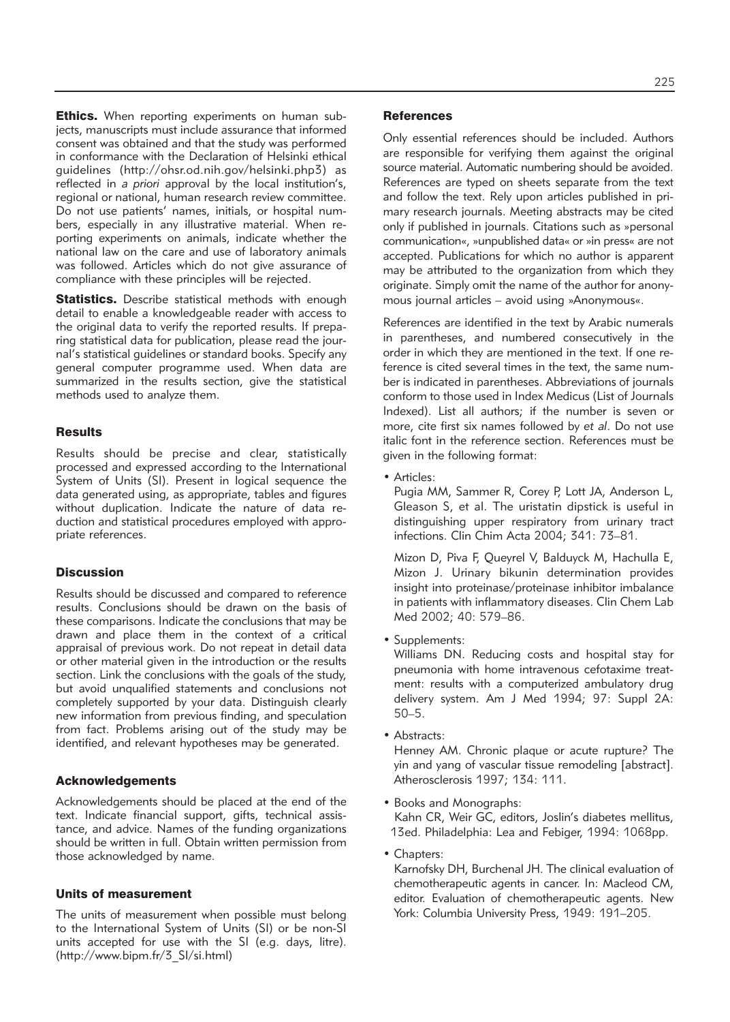**Ethics.** When reporting experiments on human subjects, manuscripts must include assurance that informed consent was obtained and that the study was performed in conformance with the Declaration of Helsinki ethical guidelines (http://ohsr.od.nih.gov/helsinki.php3) as reflected in *a priori* approval by the local institution's, regional or national, human research review committee. Do not use patients' names, initials, or hospital numbers, especially in any illustrative material. When reporting experiments on animals, indicate whether the national law on the care and use of laboratory animals was followed. Articles which do not give assurance of compliance with these principles will be rejected.

Statistics. Describe statistical methods with enough detail to enable a knowledgeable reader with access to the original data to verify the reported results. If preparing statistical data for publication, please read the journal's statistical guidelines or standard books. Specify any general computer programme used. When data are summarized in the results section, give the statistical methods used to analyze them.

#### **Results**

Results should be precise and clear, statistically processed and expressed according to the International System of Units (SI). Present in logical sequence the data generated using, as appropriate, tables and figures without duplication. Indicate the nature of data reduction and statistical procedures employed with appropriate references.

### **Discussion**

Results should be discussed and compared to reference results. Conclusions should be drawn on the basis of these comparisons. Indicate the conclusions that may be drawn and place them in the context of a critical appraisal of previous work. Do not repeat in detail data or other material given in the introduction or the results section. Link the conclusions with the goals of the study, but avoid unqualified statements and conclusions not completely supported by your data. Distinguish clearly new information from previous finding, and speculation from fact. Problems arising out of the study may be identified, and relevant hypotheses may be generated.

#### Acknowledgements

Acknowledgements should be placed at the end of the text. Indicate financial support, gifts, technical assistance, and advice. Names of the funding organizations should be written in full. Obtain written permission from those acknowledged by name.

### Units of measurement

The units of measurement when possible must belong to the International System of Units (SI) or be non-SI units accepted for use with the SI (e.g. days, litre). (http://www.bipm.fr/3\_SI/si.html)

#### **References**

Only essential references should be included. Authors are responsible for verifying them against the original source material. Automatic numbering should be avoided. References are typed on sheets separate from the text and follow the text. Rely upon articles published in primary research journals. Meeting abstracts may be cited only if published in journals. Citations such as »personal communication«, »unpublished data« or »in press« are not accepted. Publications for which no author is apparent may be attributed to the organization from which they originate. Simply omit the name of the author for anonymous journal articles – avoid using »Anonymous«.

References are identified in the text by Arabic numerals in parentheses, and numbered consecutively in the order in which they are mentioned in the text. If one reference is cited several times in the text, the same number is indicated in parentheses. Abbreviations of journals conform to those used in Index Medicus (List of Journals Indexed). List all authors; if the number is seven or more, cite first six names followed by *et al*. Do not use italic font in the reference section. References must be given in the following format:

• Articles:

Pugia MM, Sammer R, Corey P, Lott JA, Anderson L, Gleason S, et al. The uristatin dipstick is useful in distinguishing upper respiratory from urinary tract infections. Clin Chim Acta 2004; 341: 73–81.

Mizon D, Piva F, Queyrel V, Balduyck M, Hachulla E, Mizon J. Urinary bikunin determination provides insight into proteinase/proteinase inhibitor imbalance in patients with inflammatory diseases. Clin Chem Lab Med 2002; 40: 579–86.

• Supplements:

Williams DN. Reducing costs and hospital stay for pneumonia with home intravenous cefotaxime treatment: results with a computerized ambulatory drug delivery system. Am J Med 1994; 97: Suppl 2A: 50–5.

• Abstracts:

Henney AM. Chronic plaque or acute rupture? The yin and yang of vascular tissue remodeling [abstract]. Atherosclerosis 1997; 134: 111.

• Books and Monographs: Kahn CR, Weir GC, editors, Joslin's diabetes mellitus,

13ed. Philadelphia: Lea and Febiger, 1994: 1068pp.

• Chapters:

Karnofsky DH, Burchenal JH. The clinical evaluation of chemotherapeutic agents in cancer. In: Macleod CM, editor. Evaluation of chemotherapeutic agents. New York: Columbia University Press, 1949: 191–205.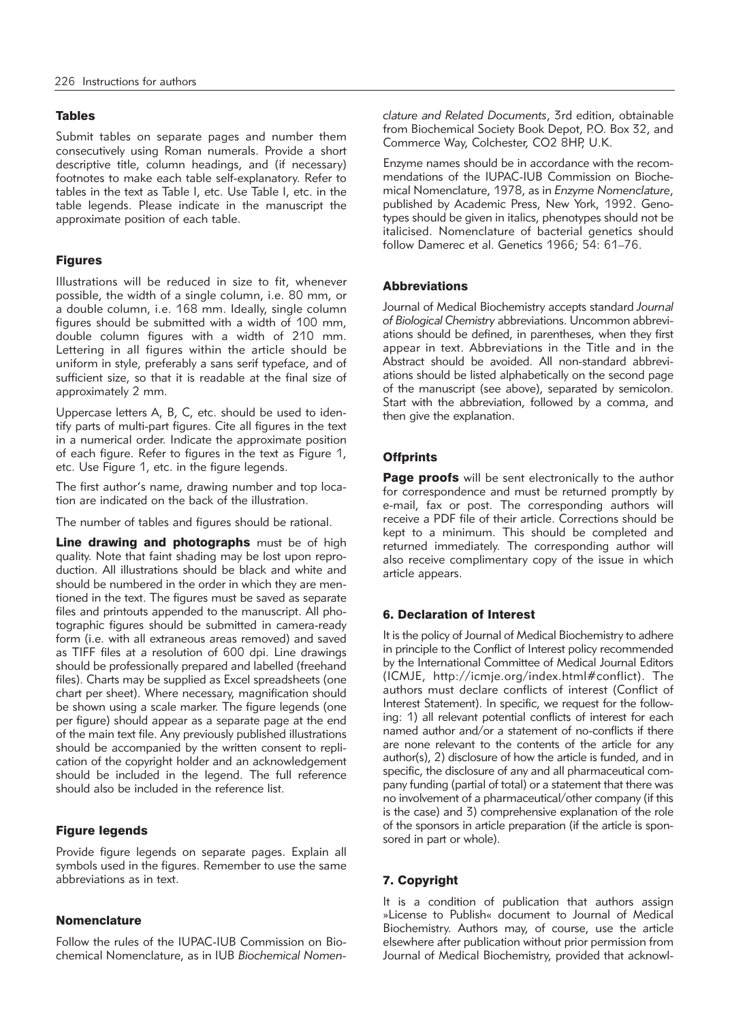### Tables

Submit tables on separate pages and number them consecutively using Roman numerals. Provide a short descriptive title, column headings, and (if necessary) footnotes to make each table self-explanatory. Refer to tables in the text as Table I, etc. Use Table I, etc. in the table legends. Please indicate in the manuscript the approximate position of each table.

## Figures

Illustrations will be reduced in size to fit, whenever possible, the width of a single column, i.e. 80 mm, or a double column, i.e. 168 mm. Ideally, single column figures should be submitted with a width of 100 mm, double column figures with a width of 210 mm. Lettering in all figures within the article should be uniform in style, preferably a sans serif typeface, and of sufficient size, so that it is readable at the final size of approximately 2 mm.

Uppercase letters A, B, C, etc. should be used to identify parts of multi-part figures. Cite all figures in the text in a numerical order. Indicate the approximate position of each figure. Refer to figures in the text as Figure 1, etc. Use Figure 1, etc. in the figure legends.

The first author's name, drawing number and top location are indicated on the back of the illustration.

The number of tables and figures should be rational.

Line drawing and photographs must be of high quality. Note that faint shading may be lost upon reproduction. All illustrations should be black and white and should be numbered in the order in which they are mentioned in the text. The figures must be saved as separate files and printouts appended to the manuscript. All photographic figures should be submitted in camera-ready form (i.e. with all extraneous areas removed) and saved as TIFF files at a resolution of 600 dpi. Line drawings should be professionally prepared and labelled (freehand files). Charts may be supplied as Excel spreadsheets (one chart per sheet). Where necessary, magnification should be shown using a scale marker. The figure legends (one per figure) should appear as a separate page at the end of the main text file. Any previously published illustrations should be accompanied by the written consent to replication of the copyright holder and an acknowledgement should be included in the legend. The full reference should also be included in the reference list.

### Figure legends

Provide figure legends on separate pages. Explain all symbols used in the figures. Remember to use the same abbreviations as in text.

### **Nomenclature**

Follow the rules of the IUPAC-IUB Commission on Biochemical Nomenclature, as in IUB *Biochemical Nomen -* *clature and Related Documents*, 3rd edition, obtainable from Biochemical Society Book Depot, P.O. Box 32, and Commerce Way, Colchester, CO2 8HP, U.K.

Enzyme names should be in accordance with the recommendations of the IUPAC-IUB Commission on Biochemical Nomenclature, 1978, as in *Enzyme Nomenclature*, published by Academic Press, New York, 1992. Genotypes should be given in italics, phenotypes should not be italicised. Nomenclature of bacterial genetics should follow Damerec et al. Genetics 1966; 54: 61–76.

### **Abbreviations**

Journal of Medical Biochemistry accepts standard *Journal* of Biological Chemistry abbreviations. Uncommon abbreviations should be defined, in parentheses, when they first appear in text. Abbreviations in the Title and in the Abstract should be avoided. All non-standard abbreviations should be listed alphabetically on the second page of the manuscript (see above), separated by semicolon. Start with the abbreviation, followed by a comma, and then give the explanation.

## **Offprints**

Page proofs will be sent electronically to the author for correspondence and must be returned promptly by e-mail, fax or post. The corresponding authors will receive a PDF file of their article. Corrections should be kept to a minimum. This should be completed and returned immediately. The corresponding author will also receive complimentary copy of the issue in which article appears.

### 6. Declaration of Interest

It is the policy of Journal of Medical Biochemistry to adhere in principle to the Conflict of Interest policy recommended by the International Committee of Medical Journal Editors (ICMJE, http://icmje.org/index.html#conflict). The authors must declare conflicts of interest (Conflict of Interest Statement). In specific, we request for the following: 1) all relevant potential conflicts of interest for each named author and/or a statement of no-conflicts if there are none relevant to the contents of the article for any author(s), 2) disclosure of how the article is funded, and in specific, the disclosure of any and all pharmaceutical company funding (partial of total) or a statement that there was no involvement of a pharmaceutical/other company (if this is the case) and 3) comprehensive explanation of the role of the sponsors in article preparation (if the article is sponsored in part or whole).

# 7. Copyright

It is a condition of publication that authors assign »License to Publish« document to Journal of Medical Biochemistry. Authors may, of course, use the article elsewhere after publication without prior permission from Journal of Medical Biochemistry, provided that acknowl